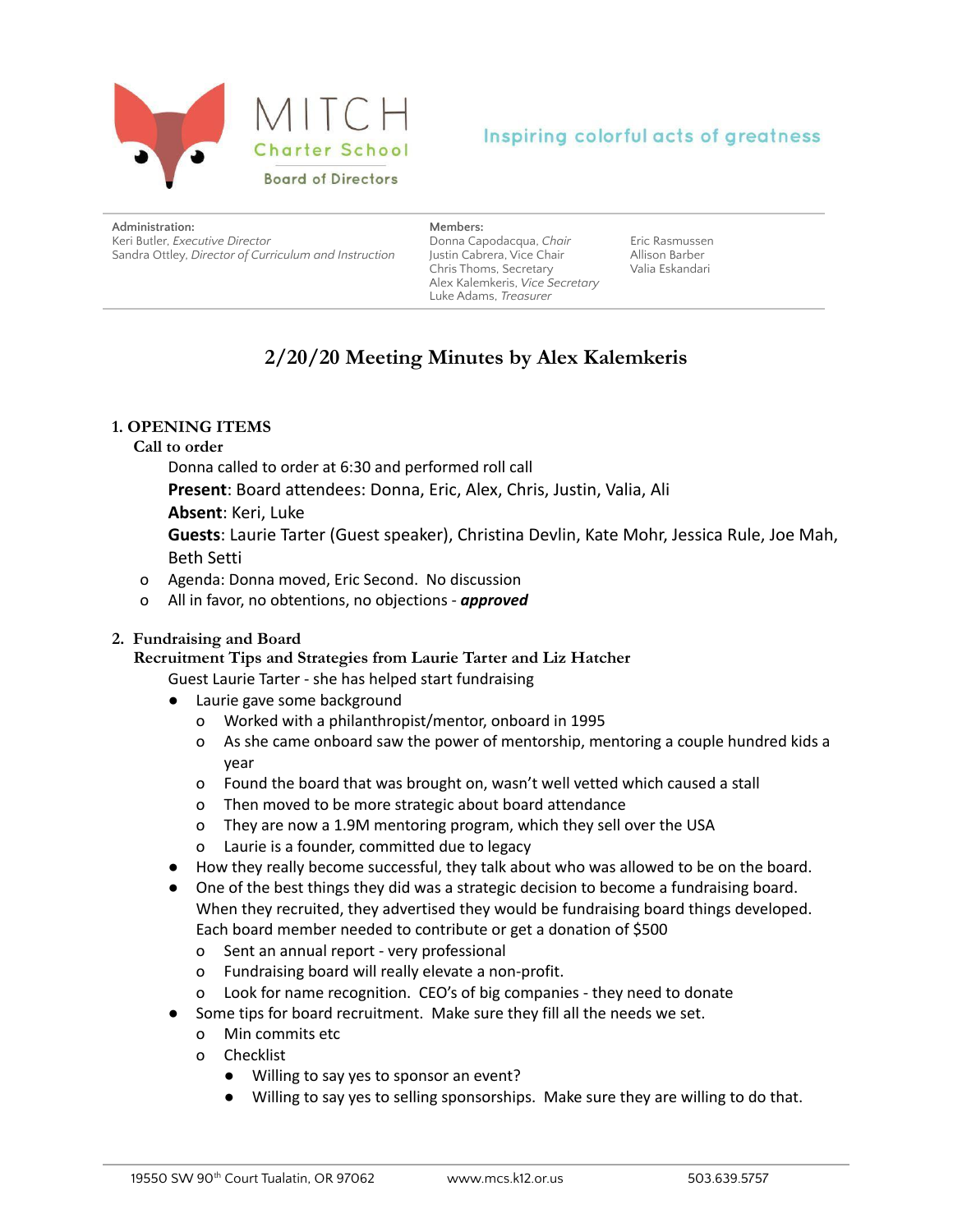

# Inspiring colorful acts of greatness

| Administration:                                       |
|-------------------------------------------------------|
| Keri Butler. Executive Director                       |
| Sandra Ottley, Director of Curriculum and Instruction |

#### **Members:**

Donna Capodacqua, *Chair* Justin Cabrera, Vice Chair Chris Thoms, Secretary Alex Kalemkeris, *Vice Secretary* Luke Adams, *Treasurer*

Eric Rasmussen Allison Barber Valia Eskandari

# **2/20/20 Meeting Minutes by Alex Kalemkeris**

# **1. OPENING ITEMS**

### **Call to order**

Donna called to order at 6:30 and performed roll call

**Present**: Board attendees: Donna, Eric, Alex, Chris, Justin, Valia, Ali

# **Absent**: Keri, Luke

**Guests**: Laurie Tarter (Guest speaker), Christina Devlin, Kate Mohr, Jessica Rule, Joe Mah, Beth Setti

- o Agenda: Donna moved, Eric Second. No discussion
- o All in favor, no obtentions, no objections *approved*

# **2. Fundraising and Board**

**Recruitment Tips and Strategies from Laurie Tarter and Liz Hatcher**

Guest Laurie Tarter - she has helped start fundraising

- Laurie gave some background
	- o Worked with a philanthropist/mentor, onboard in 1995
	- o As she came onboard saw the power of mentorship, mentoring a couple hundred kids a year
	- o Found the board that was brought on, wasn't well vetted which caused a stall
	- o Then moved to be more strategic about board attendance
	- o They are now a 1.9M mentoring program, which they sell over the USA
	- o Laurie is a founder, committed due to legacy
- How they really become successful, they talk about who was allowed to be on the board.
- One of the best things they did was a strategic decision to become a fundraising board. When they recruited, they advertised they would be fundraising board things developed. Each board member needed to contribute or get a donation of \$500
	- o Sent an annual report very professional
	- o Fundraising board will really elevate a non-profit.
	- o Look for name recognition. CEO's of big companies they need to donate
- Some tips for board recruitment. Make sure they fill all the needs we set.
	- o Min commits etc
	- o Checklist
		- Willing to say yes to sponsor an event?
		- Willing to say yes to selling sponsorships. Make sure they are willing to do that.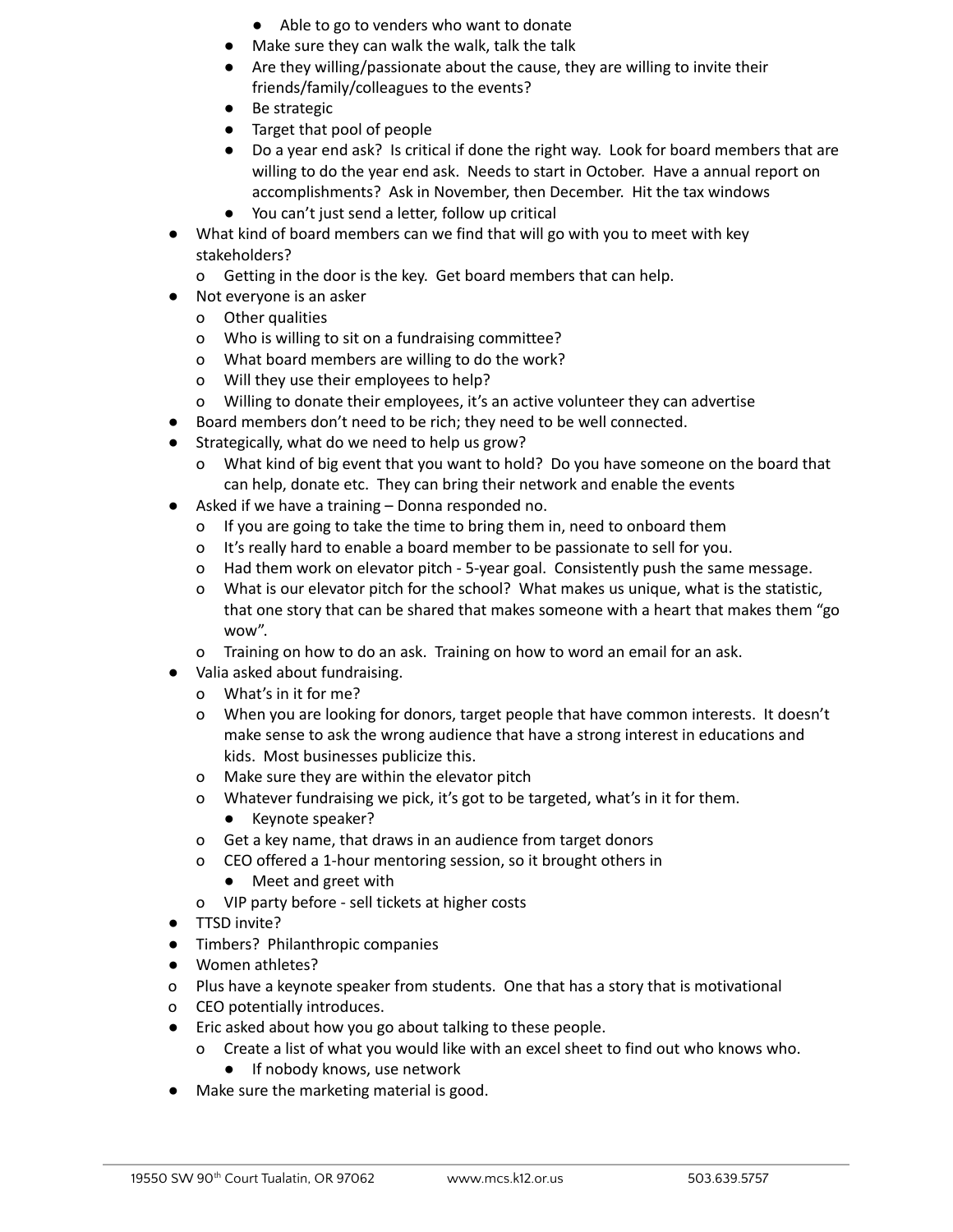- Able to go to venders who want to donate
- Make sure they can walk the walk, talk the talk
- Are they willing/passionate about the cause, they are willing to invite their friends/family/colleagues to the events?
- Be strategic
- Target that pool of people
- Do a year end ask? Is critical if done the right way. Look for board members that are willing to do the year end ask. Needs to start in October. Have a annual report on accomplishments? Ask in November, then December. Hit the tax windows
- You can't just send a letter, follow up critical
- What kind of board members can we find that will go with you to meet with key stakeholders?
	- o Getting in the door is the key. Get board members that can help.
- Not everyone is an asker
	- o Other qualities
	- o Who is willing to sit on a fundraising committee?
	- o What board members are willing to do the work?
	- o Will they use their employees to help?
	- o Willing to donate their employees, it's an active volunteer they can advertise
- Board members don't need to be rich; they need to be well connected.
- Strategically, what do we need to help us grow?
	- o What kind of big event that you want to hold? Do you have someone on the board that can help, donate etc. They can bring their network and enable the events
- Asked if we have a training Donna responded no.
	- o If you are going to take the time to bring them in, need to onboard them
	- o It's really hard to enable a board member to be passionate to sell for you.
	- o Had them work on elevator pitch 5-year goal. Consistently push the same message.
	- o What is our elevator pitch for the school? What makes us unique, what is the statistic, that one story that can be shared that makes someone with a heart that makes them "go wow".
	- o Training on how to do an ask. Training on how to word an email for an ask.
- Valia asked about fundraising.
	- o What's in it for me?
	- o When you are looking for donors, target people that have common interests. It doesn't make sense to ask the wrong audience that have a strong interest in educations and kids. Most businesses publicize this.
	- o Make sure they are within the elevator pitch
	- o Whatever fundraising we pick, it's got to be targeted, what's in it for them. ● Keynote speaker?
	- o Get a key name, that draws in an audience from target donors
	- o CEO offered a 1-hour mentoring session, so it brought others in
		- Meet and greet with
	- o VIP party before sell tickets at higher costs
- TTSD invite?
- Timbers? Philanthropic companies
- Women athletes?
- o Plus have a keynote speaker from students. One that has a story that is motivational
- o CEO potentially introduces.
- Eric asked about how you go about talking to these people.
	- o Create a list of what you would like with an excel sheet to find out who knows who.
		- If nobody knows, use network
- Make sure the marketing material is good.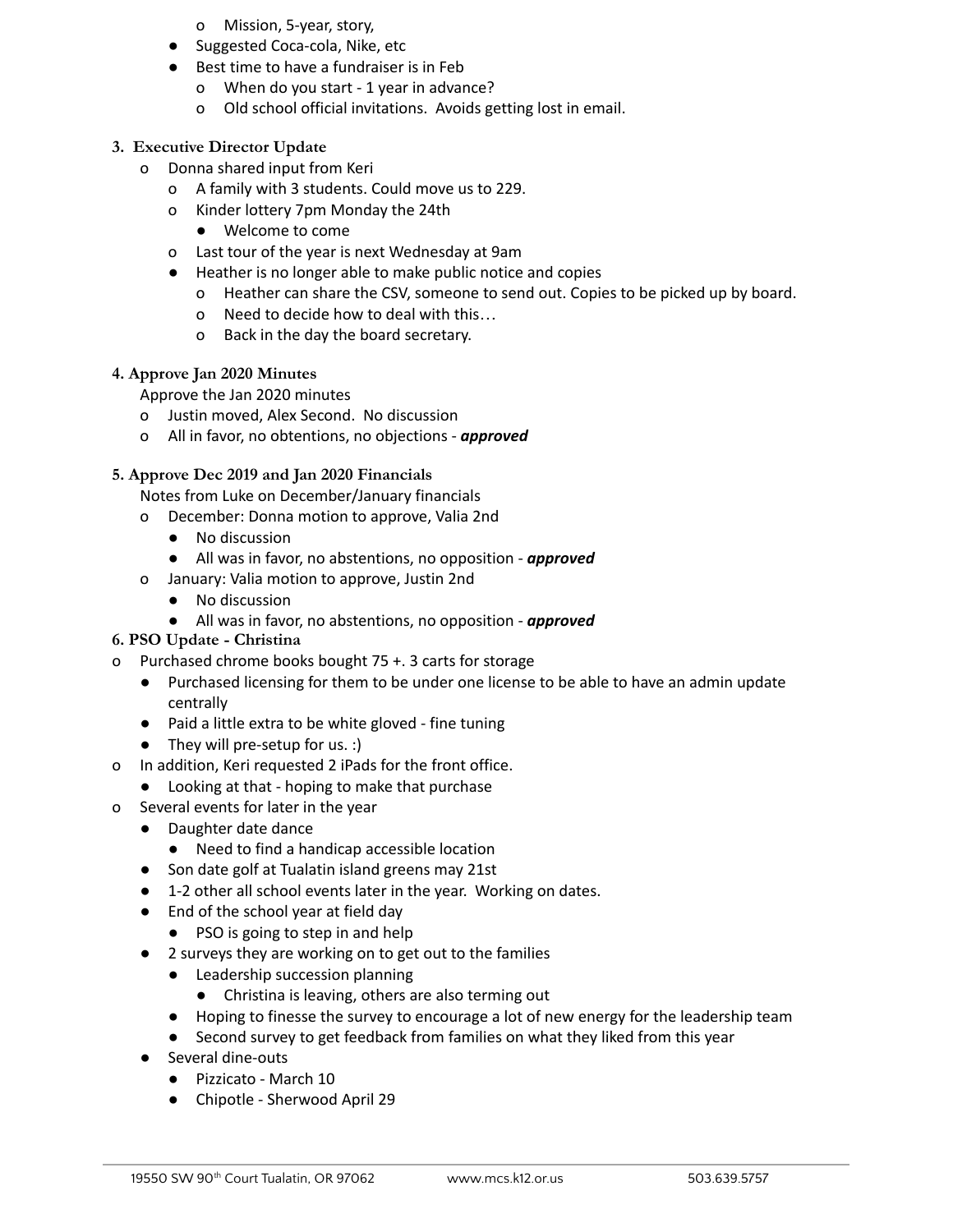- o Mission, 5-year, story,
- Suggested Coca-cola, Nike, etc
- Best time to have a fundraiser is in Feb
	- o When do you start 1 year in advance?
	- o Old school official invitations. Avoids getting lost in email.

#### **3. Executive Director Update**

- o Donna shared input from Keri
	- o A family with 3 students. Could move us to 229.
	- o Kinder lottery 7pm Monday the 24th
		- Welcome to come
	- o Last tour of the year is next Wednesday at 9am
	- Heather is no longer able to make public notice and copies
		- o Heather can share the CSV, someone to send out. Copies to be picked up by board.
		- o Need to decide how to deal with this…
		- o Back in the day the board secretary.

#### **4. Approve Jan 2020 Minutes**

Approve the Jan 2020 minutes

- o Justin moved, Alex Second. No discussion
- o All in favor, no obtentions, no objections *approved*

#### **5. Approve Dec 2019 and Jan 2020 Financials**

Notes from Luke on December/January financials

- o December: Donna motion to approve, Valia 2nd
	- No discussion
	- All was in favor, no abstentions, no opposition *approved*
- o January: Valia motion to approve, Justin 2nd
	- No discussion
	- All was in favor, no abstentions, no opposition *approved*
- **6. PSO Update - Christina**
- o Purchased chrome books bought 75 +. 3 carts for storage
	- Purchased licensing for them to be under one license to be able to have an admin update centrally
	- Paid a little extra to be white gloved fine tuning
	- They will pre-setup for us. :)
- o In addition, Keri requested 2 iPads for the front office.
	- Looking at that hoping to make that purchase
- o Several events for later in the year
	- Daughter date dance
		- Need to find a handicap accessible location
	- Son date golf at Tualatin island greens may 21st
	- 1-2 other all school events later in the year. Working on dates.
	- End of the school year at field day
		- PSO is going to step in and help
	- 2 surveys they are working on to get out to the families
		- Leadership succession planning
			- Christina is leaving, others are also terming out
		- Hoping to finesse the survey to encourage a lot of new energy for the leadership team
		- Second survey to get feedback from families on what they liked from this year
	- Several dine-outs
		- Pizzicato March 10
		- Chipotle Sherwood April 29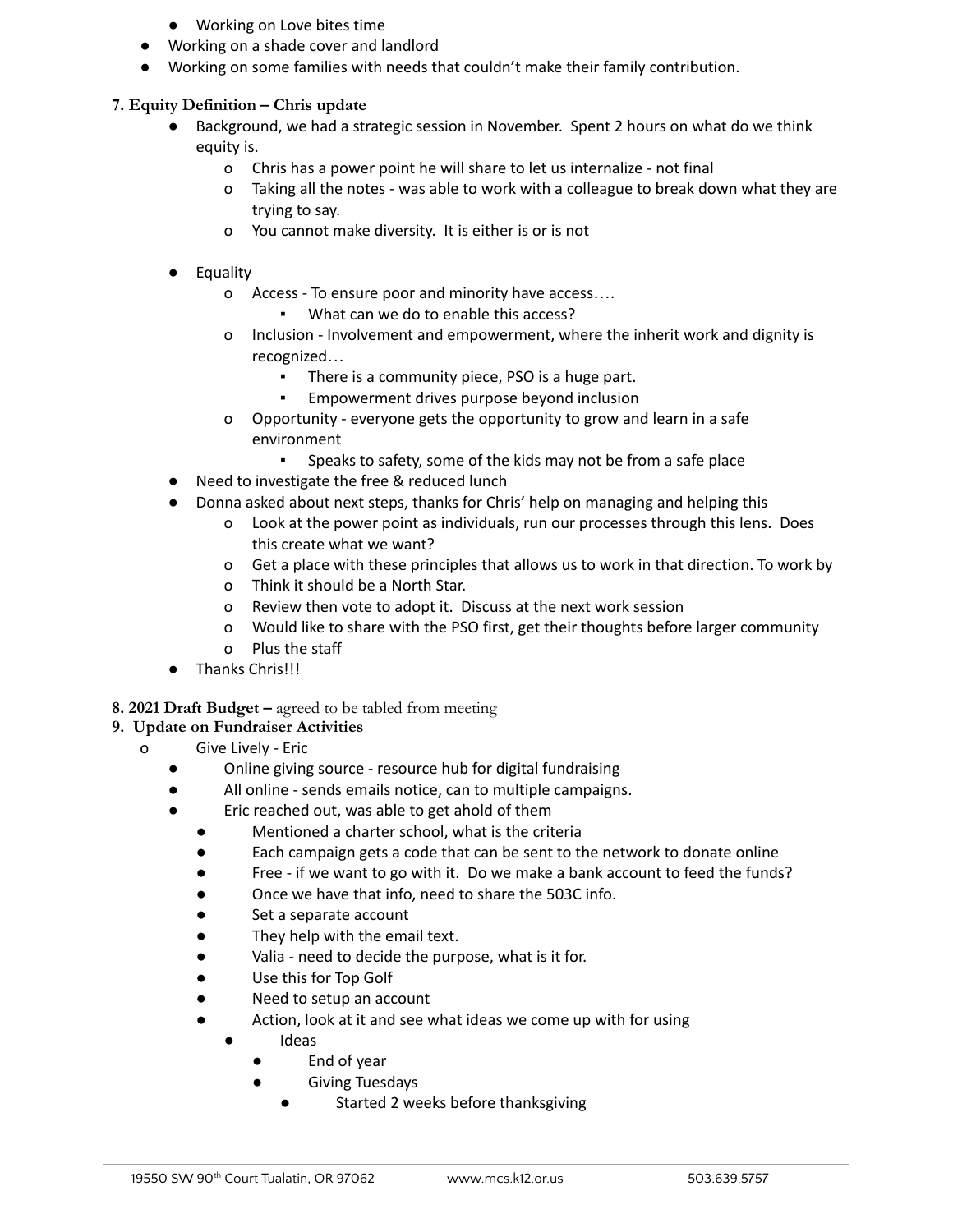- Working on Love bites time
- Working on a shade cover and landlord
- Working on some families with needs that couldn't make their family contribution.

#### **7. Equity Definition – Chris update**

- Background, we had a strategic session in November. Spent 2 hours on what do we think equity is.
	- o Chris has a power point he will share to let us internalize not final
	- o Taking all the notes was able to work with a colleague to break down what they are trying to say.
	- o You cannot make diversity. It is either is or is not
- **Equality** 
	- o Access To ensure poor and minority have access….
		- What can we do to enable this access?
	- o Inclusion Involvement and empowerment, where the inherit work and dignity is recognized…
		- There is a community piece, PSO is a huge part.
		- Empowerment drives purpose beyond inclusion
	- o Opportunity everyone gets the opportunity to grow and learn in a safe environment
		- Speaks to safety, some of the kids may not be from a safe place
- Need to investigate the free & reduced lunch
- Donna asked about next steps, thanks for Chris' help on managing and helping this
	- o Look at the power point as individuals, run our processes through this lens. Does this create what we want?
	- o Get a place with these principles that allows us to work in that direction. To work by
	- o Think it should be a North Star.
	- o Review then vote to adopt it. Discuss at the next work session
	- o Would like to share with the PSO first, get their thoughts before larger community
	- o Plus the staff
- Thanks Chris!!!
- **8. 2021 Draft Budget –** agreed to be tabled from meeting

### **9. Update on Fundraiser Activities**

- o Give Lively Eric
	- Online giving source resource hub for digital fundraising
	- All online sends emails notice, can to multiple campaigns.
	- Eric reached out, was able to get ahold of them
		- Mentioned a charter school, what is the criteria
		- Each campaign gets a code that can be sent to the network to donate online
		- Free if we want to go with it. Do we make a bank account to feed the funds?
		- Once we have that info, need to share the 503C info.
		- Set a separate account
		- They help with the email text.
		- Valia need to decide the purpose, what is it for.
		- Use this for Top Golf
		- Need to setup an account
		- Action, look at it and see what ideas we come up with for using
			- Ideas
				- End of year
				- Giving Tuesdays
					- Started 2 weeks before thanksgiving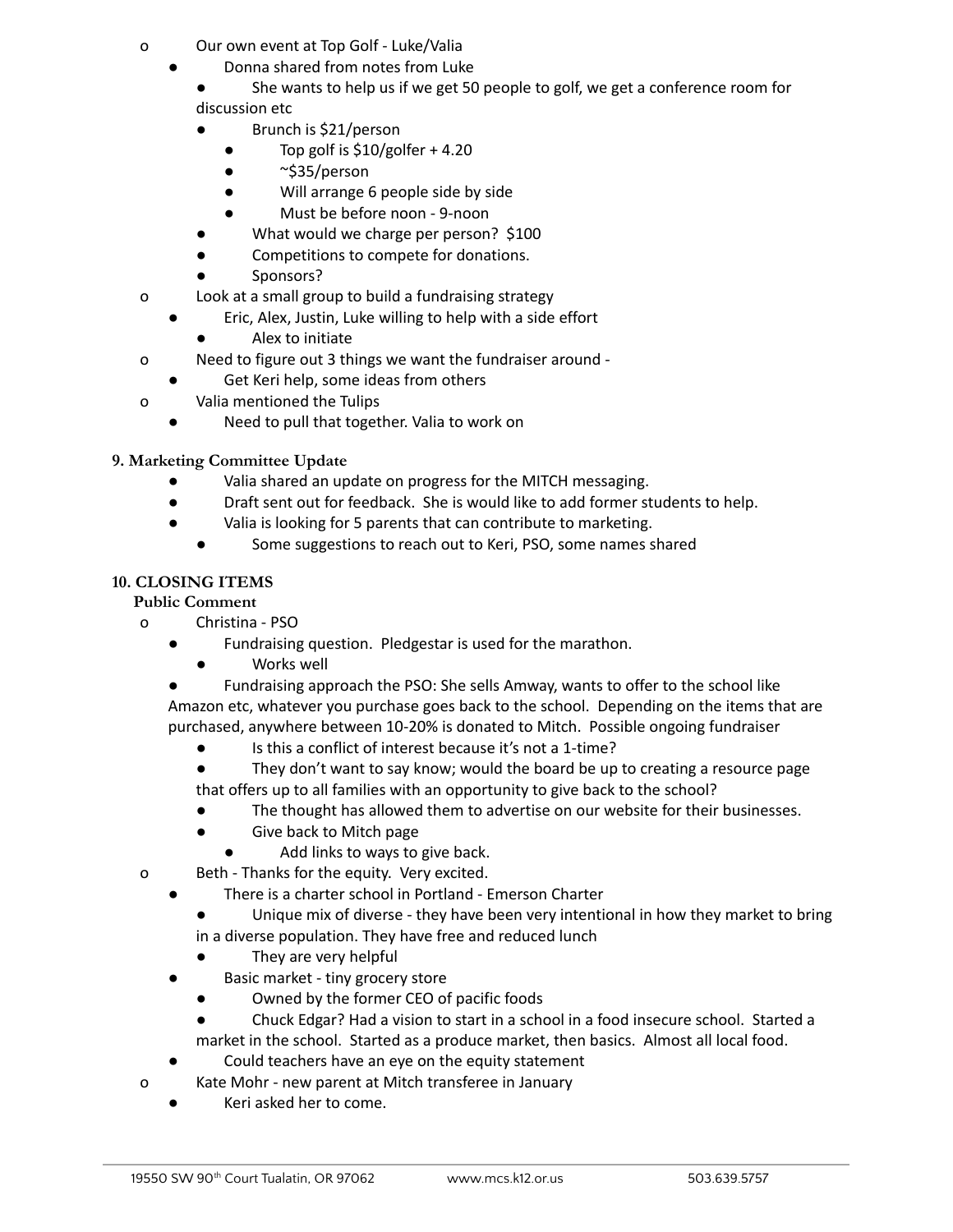- o Our own event at Top Golf Luke/Valia
	- Donna shared from notes from Luke
		- She wants to help us if we get 50 people to golf, we get a conference room for discussion etc
		- Brunch is \$21/person
			- $\bullet$  Top golf is \$10/golfer + 4.20
			- $\sim$ \$35/person
			- Will arrange 6 people side by side
			- Must be before noon 9-noon
		- What would we charge per person? \$100
		- Competitions to compete for donations.
		- Sponsors?
- o Look at a small group to build a fundraising strategy
	- Eric, Alex, Justin, Luke willing to help with a side effort
		- Alex to initiate
- o Need to figure out 3 things we want the fundraiser around
	- Get Keri help, some ideas from others
- o Valia mentioned the Tulips
	- Need to pull that together. Valia to work on

### **9. Marketing Committee Update**

- Valia shared an update on progress for the MITCH messaging.
- Draft sent out for feedback. She is would like to add former students to help.
- Valia is looking for 5 parents that can contribute to marketing.
	- Some suggestions to reach out to Keri, PSO, some names shared

### **10. CLOSING ITEMS**

### **Public Comment**

- o Christina PSO
	- Fundraising question. Pledgestar is used for the marathon.
	- Works well
	- Fundraising approach the PSO: She sells Amway, wants to offer to the school like Amazon etc, whatever you purchase goes back to the school. Depending on the items that are purchased, anywhere between 10-20% is donated to Mitch. Possible ongoing fundraiser
		- Is this a conflict of interest because it's not a 1-time?
		- They don't want to say know; would the board be up to creating a resource page that offers up to all families with an opportunity to give back to the school?
		- The thought has allowed them to advertise on our website for their businesses.
		- Give back to Mitch page
			- Add links to ways to give back.
- o Beth Thanks for the equity. Very excited.
	- There is a charter school in Portland Emerson Charter
		- Unique mix of diverse they have been very intentional in how they market to bring in a diverse population. They have free and reduced lunch
			- They are very helpful
	- Basic market tiny grocery store
		- Owned by the former CEO of pacific foods
		- Chuck Edgar? Had a vision to start in a school in a food insecure school. Started a market in the school. Started as a produce market, then basics. Almost all local food.
	- Could teachers have an eye on the equity statement
- o Kate Mohr new parent at Mitch transferee in January
	- Keri asked her to come.